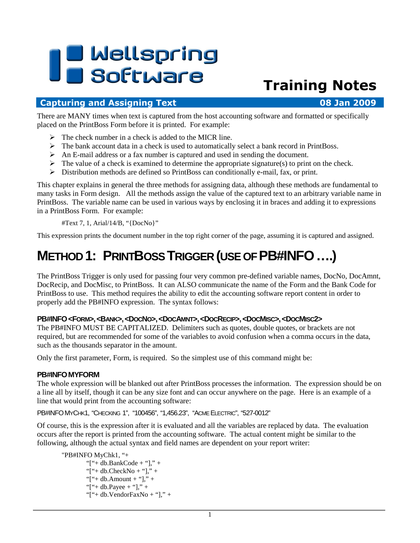# **I B** Wellspring<br>**UB** Software

# Training Notes

#### Capturing and Assigning Text 08 Jan 2009

There are MANY times when text is captured from the host accounting software and formatted or specifically placed on the PrintBoss Form before it is printed. For example:

- $\triangleright$  The check number in a check is added to the MICR line.
- $\triangleright$  The bank account data in a check is used to automatically select a bank record in PrintBoss.
- An E-mail address or a fax number is captured and used in sending the document.
- $\triangleright$  The value of a check is examined to determine the appropriate signature(s) to print on the check.
- $\triangleright$  Distribution methods are defined so PrintBoss can conditionally e-mail, fax, or print.

This chapter explains in general the three methods for assigning data, although these methods are fundamental to many tasks in Form design. All the methods assign the value of the captured text to an arbitrary variable name in PrintBoss. The variable name can be used in various ways by enclosing it in braces and adding it to expressions in a PrintBoss Form. For example:

#Text 7, 1, Arial/14/B, "{DocNo}"

This expression prints the document number in the top right corner of the page, assuming it is captured and assigned.

# **METHOD 1: PRINTBOSS TRIGGER (USE OF PB#INFO….)**

The PrintBoss Trigger is only used for passing four very common pre-defined variable names, DocNo, DocAmnt, DocRecip, and DocMisc, to PrintBoss. It can ALSO communicate the name of the Form and the Bank Code for PrintBoss to use. This method requires the ability to edit the accounting software report content in order to properly add the PB#INFO expression. The syntax follows:

#### PB#INFO<FORM>,<BANK>,<DOCNO>,<DOCAMNT>,<DOCRECIP>,<DOCMISC>,<DOCMISC2>

The PB#INFO MUST BE CAPITALIZED. Delimiters such as quotes, double quotes, or brackets are not required, but are recommended for some of the variables to avoid confusion when a comma occurs in the data, such as the thousands separator in the amount.

Only the first parameter, Form, is required. So the simplest use of this command might be:

#### **PB#INFOMYFORM**

The whole expression will be blanked out after PrintBoss processes the information. The expression should be on a line all by itself, though it can be any size font and can occur anywhere on the page. Here is an example of a line that would print from the accounting software:

PB#INFOMYCHK1, "CHECKING 1", "100456", "1,456.23", "ACME ELECTRIC", "527-0012"

Of course, this is the expression after it is evaluated and all the variables are replaced by data. The evaluation occurs after the report is printed from the accounting software. The actual content might be similar to the following, although the actual syntax and field names are dependent on your report writer:

```
 "PB#INFO MyChk1, "+ 
"["+ db.BankCode + "]," +
"["+ db.CheckNo + "]," +
"["+ db.Amount + "]," +
"["+ db.Payee + "]," +
"["+ db.VendorFaxNo + "]," +
```
1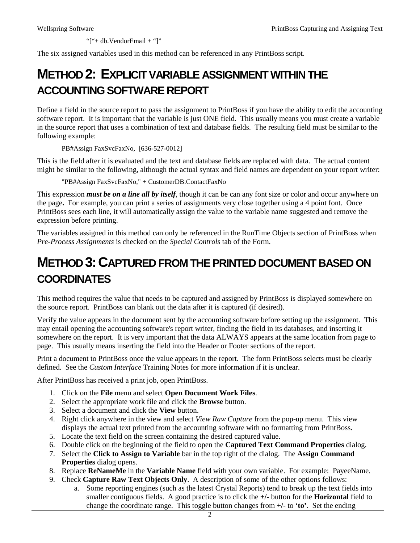"["+ db.VendorEmail + "]"

The six assigned variables used in this method can be referenced in any PrintBoss script.

## **METHOD 2: EXPLICIT VARIABLE ASSIGNMENT WITHIN THE ACCOUNTING SOFTWARE REPORT**

Define a field in the source report to pass the assignment to PrintBoss if you have the ability to edit the accounting software report. It is important that the variable is just ONE field. This usually means you must create a variable in the source report that uses a combination of text and database fields. The resulting field must be similar to the following example:

PB#Assign FaxSvcFaxNo, [636-527-0012]

This is the field after it is evaluated and the text and database fields are replaced with data. The actual content might be similar to the following, although the actual syntax and field names are dependent on your report writer:

"PB#Assign FaxSvcFaxNo," + CustomerDB.ContactFaxNo

This expression *must be on a line all by itself*, though it can be can any font size or color and occur anywhere on the page**.** For example, you can print a series of assignments very close together using a 4 point font. Once PrintBoss sees each line, it will automatically assign the value to the variable name suggested and remove the expression before printing.

The variables assigned in this method can only be referenced in the RunTime Objects section of PrintBoss when *Pre-Process Assignments* is checked on the *Special Controls* tab of the Form.

### **METHOD 3:CAPTURED FROM THE PRINTED DOCUMENT BASED ON COORDINATES**

This method requires the value that needs to be captured and assigned by PrintBoss is displayed somewhere on the source report. PrintBoss can blank out the data after it is captured (if desired).

Verify the value appears in the document sent by the accounting software before setting up the assignment. This may entail opening the accounting software's report writer, finding the field in its databases, and inserting it somewhere on the report. It is very important that the data ALWAYS appears at the same location from page to page. This usually means inserting the field into the Header or Footer sections of the report.

Print a document to PrintBoss once the value appears in the report. The form PrintBoss selects must be clearly defined. See the *Custom Interface* Training Notes for more information if it is unclear.

After PrintBoss has received a print job, open PrintBoss.

- 1. Click on the **File** menu and select **Open Document Work Files**.
- 2. Select the appropriate work file and click the **Browse** button.
- 3. Select a document and click the **View** button.
- 4. Right click anywhere in the view and select *View Raw Capture* from the pop-up menu. This view displays the actual text printed from the accounting software with no formatting from PrintBoss.
- 5. Locate the text field on the screen containing the desired captured value.
- 6. Double click on the beginning of the field to open the **Captured Text Command Properties** dialog.
- 7. Select the **Click to Assign to Variable** bar in the top right of the dialog. The **Assign Command Properties** dialog opens.
- 8. Replace **ReNameMe** in the **Variable Name** field with your own variable. For example: PayeeName.
- 9. Check **Capture Raw Text Objects Only**. A description of some of the other options follows:
	- a. Some reporting engines (such as the latest Crystal Reports) tend to break up the text fields into smaller contiguous fields. A good practice is to click the **+/-** button for the **Horizontal** field to change the coordinate range. This toggle button changes from **+/-** to '**to'**. Set the ending